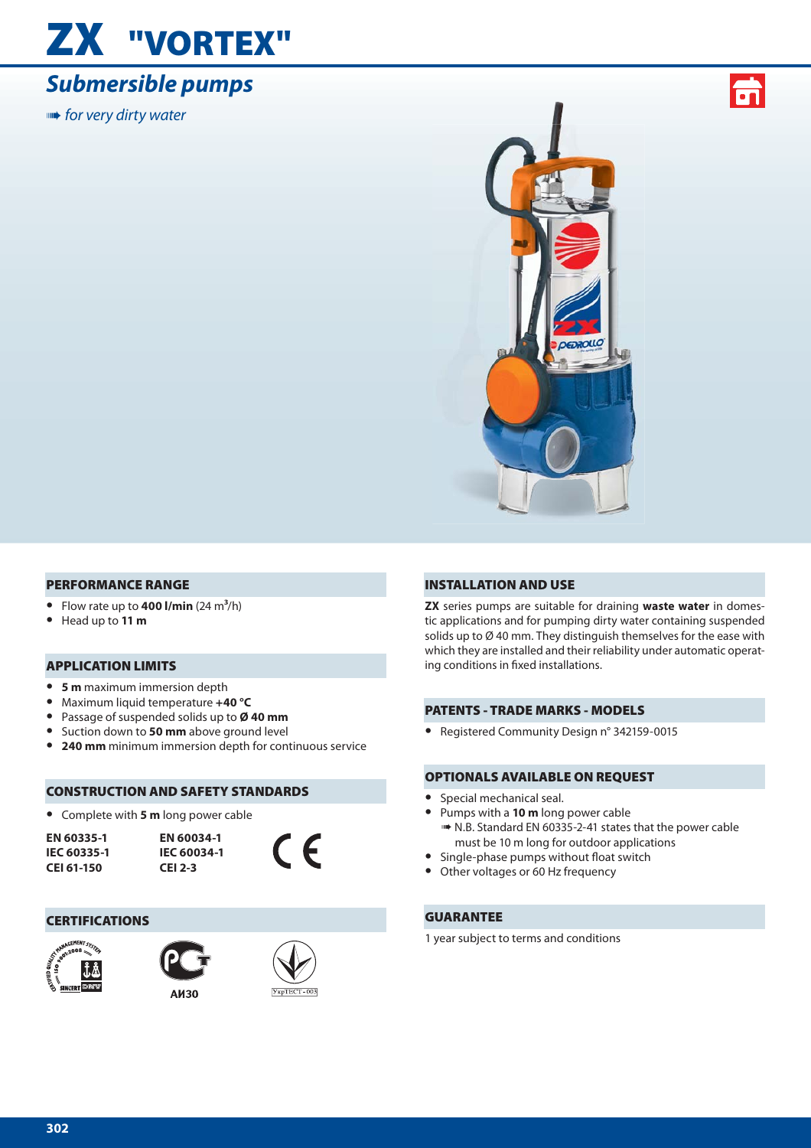## **ZX "VORTEX"**

## *Submersible pumps*

**IIIIII•** for very dirty water





#### **PERFORMANCE RANGE**

- Flow rate up to  $400$  l/min  $(24 \text{ m}^3/\text{h})$
- **•** Head up to **11 m**

#### **APPLICATION LIMITS**

- **• 5 m** maximum immersion depth
- **•** Maximum liquid temperature **+40 °C**
- **•** Passage of suspended solids up to **Ø 40 mm**
- **•** Suction down to **50 mm** above ground level
- **• 240 mm** minimum immersion depth for continuous service

#### **CONSTRUCTION AND SAFETY STANDARDS**

**•** Complete with **5 m** long power cable

| EN 60335-1  |
|-------------|
| IEC 60335-1 |
| CEI 61-150  |





#### **CERTIFICATIONS**







#### **INSTALLATION AND USE**

**ZX** series pumps are suitable for draining **waste water** in domestic applications and for pumping dirty water containing suspended solids up to Ø 40 mm. They distinguish themselves for the ease with which they are installed and their reliability under automatic operating conditions in fixed installations.

#### **PATENTS - TRADE MARKS - MODELS**

**•** Registered Community Design n° 342159-0015

#### **OPTIONALS AVAILABLE ON REQUEST**

- **•** Special mechanical seal.
- **•** Pumps with a **10 m** long power cable ➠ N.B. Standard EN 60335-2-41 states that the power cable must be 10 m long for outdoor applications
- Single-phase pumps without float switch<br>• Other voltages or 60 Hz frequency
- **•** Other voltages or 60 Hz frequency

#### **GUARANTEE**

1 year subject to terms and conditions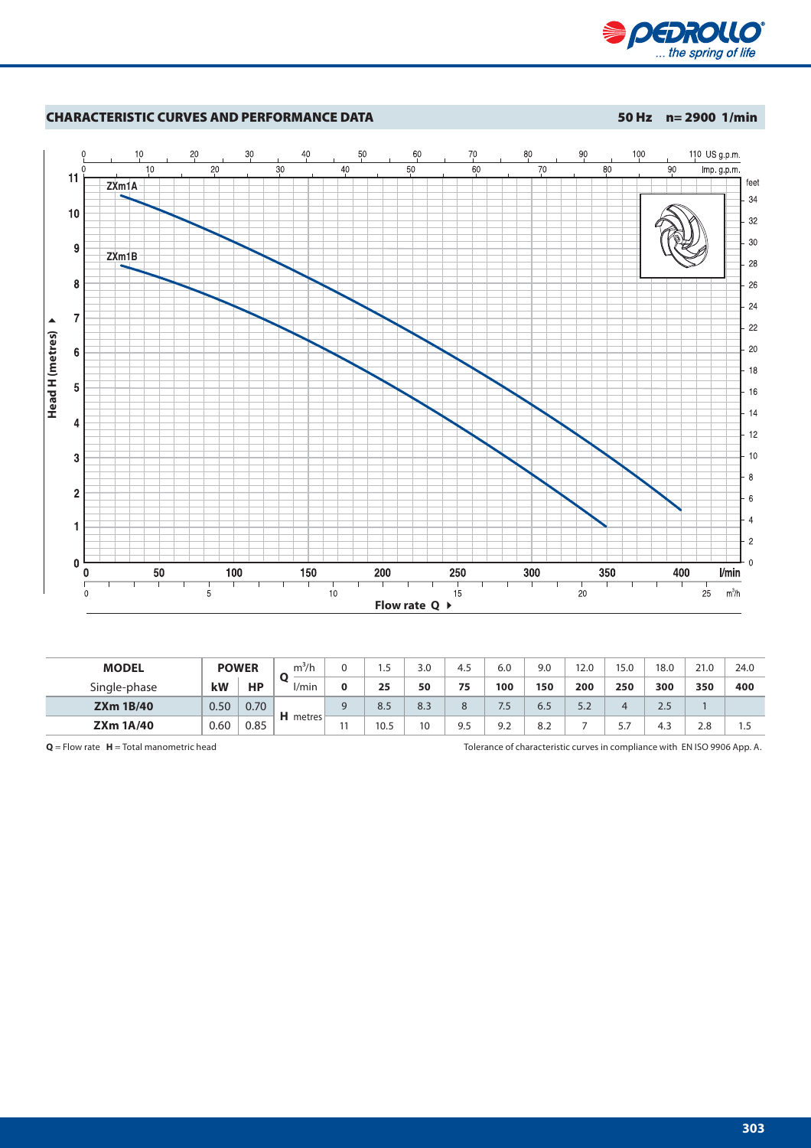



| <b>MODEL</b>     | <b>POWER</b> |           | $\mathrm{m}^3$ /h |   | ر. ا | 3.0 | 4.5 | 6.0       | 9.0 | 12.0 | 15.0 | 18.0 | 21.0 | 24.0 |
|------------------|--------------|-----------|-------------------|---|------|-----|-----|-----------|-----|------|------|------|------|------|
| Single-phase     | kW           | <b>HP</b> | l/min             | Λ | 25   | 50  | 75  | 100       | 150 | 200  | 250  | 300  | 350  | 400  |
| <b>ZXm 1B/40</b> | 0.50         | 0.70      | $H$ metres        |   | 8.5  | 8.3 | 8   | 75<br>ر ، | 6.5 | 5.2  | 4    | 2.5  |      |      |
| <b>ZXm 1A/40</b> | 0.60         | 0.85      |                   |   | 10.5 | 10  | 9.5 | 9.2       | 8.2 |      | 5.7  | 4.3  | 2.8  | 1.5  |

**Q** = Flow rate **H** = Total manometric head Tolerance of characteristic curves in compliance with EN ISO 9906 App. A.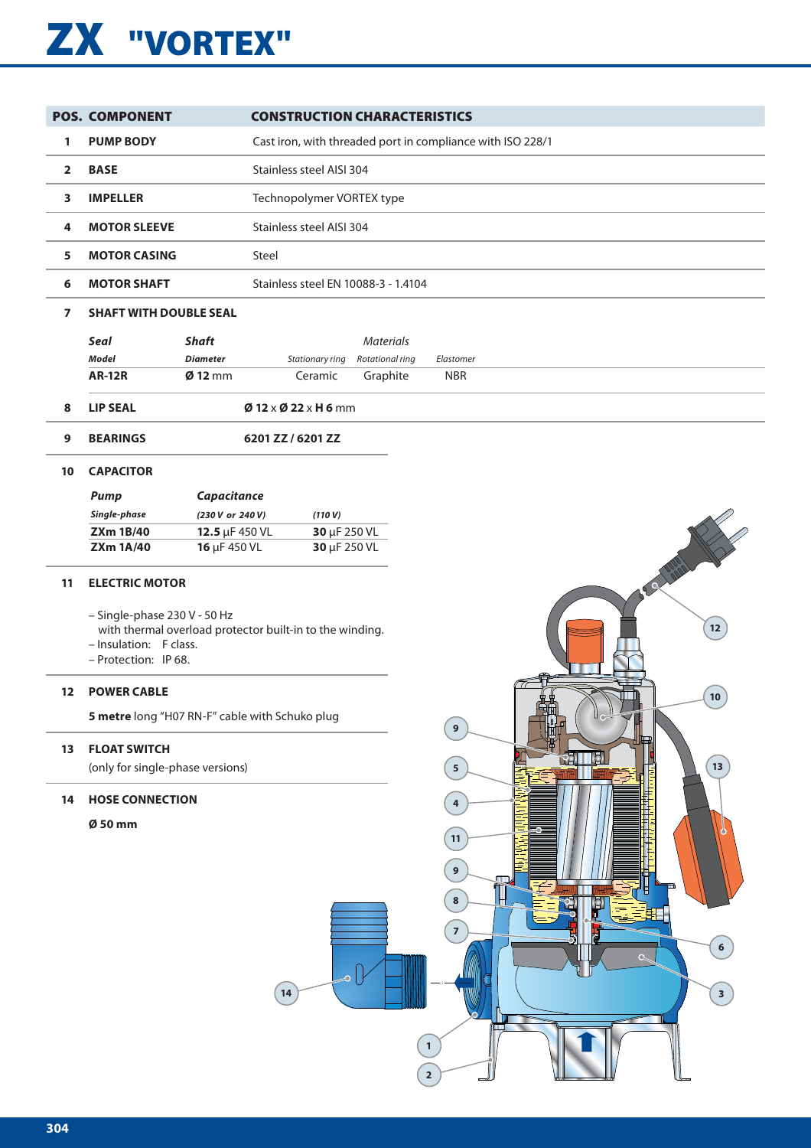# **ZX "VORTEX"**

|    | <b>POS. COMPONENT</b>                                                                                   |                  | <b>CONSTRUCTION CHARACTERISTICS</b>                        |                  |                                                                            |                                                            |
|----|---------------------------------------------------------------------------------------------------------|------------------|------------------------------------------------------------|------------------|----------------------------------------------------------------------------|------------------------------------------------------------|
| 1  | <b>PUMP BODY</b>                                                                                        |                  | Cast iron, with threaded port in compliance with ISO 228/1 |                  |                                                                            |                                                            |
| 2  | <b>BASE</b>                                                                                             |                  | Stainless steel AISI 304                                   |                  |                                                                            |                                                            |
| 3  | <b>IMPELLER</b>                                                                                         |                  | Technopolymer VORTEX type                                  |                  |                                                                            |                                                            |
| 4  | <b>MOTOR SLEEVE</b>                                                                                     |                  | Stainless steel AISI 304                                   |                  |                                                                            |                                                            |
| 5  | <b>MOTOR CASING</b>                                                                                     |                  | Steel                                                      |                  |                                                                            |                                                            |
| 6  | <b>MOTOR SHAFT</b>                                                                                      |                  | Stainless steel EN 10088-3 - 1.4104                        |                  |                                                                            |                                                            |
| 7  | <b>SHAFT WITH DOUBLE SEAL</b>                                                                           |                  |                                                            |                  |                                                                            |                                                            |
|    | Seal                                                                                                    | <b>Shaft</b>     |                                                            | <b>Materials</b> |                                                                            |                                                            |
|    | <b>Model</b>                                                                                            | <b>Diameter</b>  | Stationary ring                                            | Rotational ring  | Elastomer                                                                  |                                                            |
|    | <b>AR-12R</b>                                                                                           | $Ø$ 12 mm        | Ceramic                                                    | Graphite         | <b>NBR</b>                                                                 |                                                            |
| 8  | <b>LIP SEAL</b>                                                                                         |                  | $Ø$ 12 x $Ø$ 22 x H 6 mm                                   |                  |                                                                            |                                                            |
| 9  | <b>BEARINGS</b>                                                                                         |                  | 6201 ZZ / 6201 ZZ                                          |                  |                                                                            |                                                            |
| 10 | <b>CAPACITOR</b>                                                                                        |                  |                                                            |                  |                                                                            |                                                            |
|    | <b>Pump</b>                                                                                             | Capacitance      |                                                            |                  |                                                                            |                                                            |
|    | Single-phase                                                                                            | (230 V or 240 V) | (110 V)                                                    |                  |                                                                            |                                                            |
|    | <b>ZXm 1B/40</b>                                                                                        | 12.5 µF 450 VL   | 30 µF 250 VL                                               |                  |                                                                            |                                                            |
|    | <b>ZXm 1A/40</b>                                                                                        | 16 µF 450 VL     | 30 µF 250 VL                                               |                  |                                                                            |                                                            |
| 11 | <b>ELECTRIC MOTOR</b><br>- Single-phase 230 V - 50 Hz<br>- Insulation: F class.<br>- Protection: IP 68. |                  | with thermal overload protector built-in to the winding.   |                  |                                                                            | <b>CALITORIA</b><br>12                                     |
| 12 | <b>POWER CABLE</b><br>5 metre long "H07 RN-F" cable with Schuko plug                                    |                  |                                                            |                  |                                                                            | 10 <sup>1</sup><br>13                                      |
| 13 | <b>FLOAT SWITCH</b><br>(only for single-phase versions)                                                 |                  |                                                            |                  | $\boldsymbol{9}$<br>$\sqrt{5}$                                             | ष<br>$\boxed{13}$                                          |
| 14 | <b>HOSE CONNECTION</b>                                                                                  |                  |                                                            |                  | $\overline{4}$                                                             |                                                            |
|    | Ø 50 mm                                                                                                 |                  | ۵<br>14                                                    |                  | $\boxed{11}$<br>$\boldsymbol{9}$<br>$\bf8$<br>۳<br>$\overline{\mathbf{z}}$ | ⊎<br><b>DE</b><br>花<br>$\bf 6$<br>$\alpha$<br>$\mathbf{3}$ |
|    |                                                                                                         |                  |                                                            |                  | $\mathbf{1}$                                                               |                                                            |

**2**